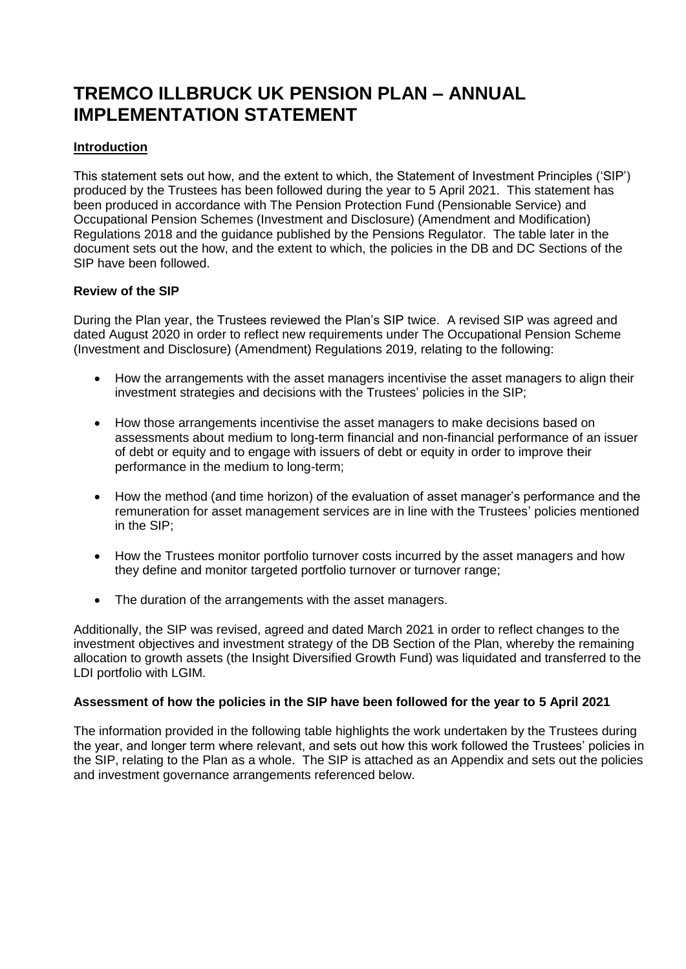# **TREMCO ILLBRUCK UK PENSION PLAN – ANNUAL IMPLEMENTATION STATEMENT**

# **Introduction**

This statement sets out how, and the extent to which, the Statement of Investment Principles ('SIP') produced by the Trustees has been followed during the year to 5 April 2021. This statement has been produced in accordance with The Pension Protection Fund (Pensionable Service) and Occupational Pension Schemes (Investment and Disclosure) (Amendment and Modification) Regulations 2018 and the guidance published by the Pensions Regulator. The table later in the document sets out the how, and the extent to which, the policies in the DB and DC Sections of the SIP have been followed.

## **Review of the SIP**

During the Plan year, the Trustees reviewed the Plan's SIP twice. A revised SIP was agreed and dated August 2020 in order to reflect new requirements under The Occupational Pension Scheme (Investment and Disclosure) (Amendment) Regulations 2019, relating to the following:

- How the arrangements with the asset managers incentivise the asset managers to align their investment strategies and decisions with the Trustees' policies in the SIP;
- How those arrangements incentivise the asset managers to make decisions based on assessments about medium to long-term financial and non-financial performance of an issuer of debt or equity and to engage with issuers of debt or equity in order to improve their performance in the medium to long-term;
- How the method (and time horizon) of the evaluation of asset manager's performance and the remuneration for asset management services are in line with the Trustees' policies mentioned in the SIP;
- How the Trustees monitor portfolio turnover costs incurred by the asset managers and how they define and monitor targeted portfolio turnover or turnover range;
- The duration of the arrangements with the asset managers.

Additionally, the SIP was revised, agreed and dated March 2021 in order to reflect changes to the investment objectives and investment strategy of the DB Section of the Plan, whereby the remaining allocation to growth assets (the Insight Diversified Growth Fund) was liquidated and transferred to the LDI portfolio with LGIM.

#### **Assessment of how the policies in the SIP have been followed for the year to 5 April 2021**

The information provided in the following table highlights the work undertaken by the Trustees during the year, and longer term where relevant, and sets out how this work followed the Trustees' policies in the SIP, relating to the Plan as a whole. The SIP is attached as an Appendix and sets out the policies and investment governance arrangements referenced below.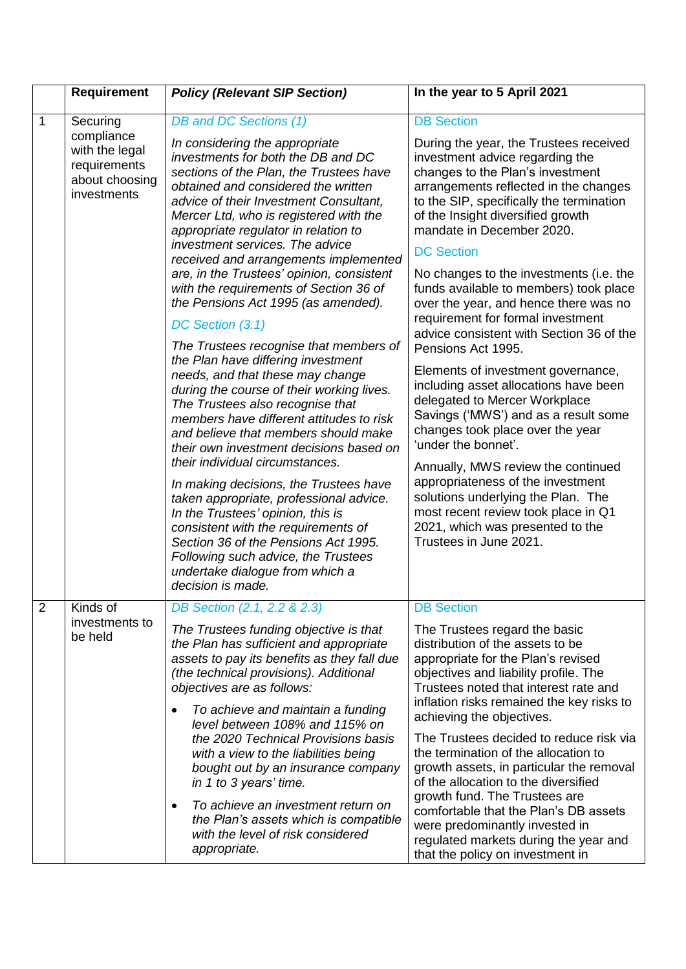|                | <b>Requirement</b>                                                                        | <b>Policy (Relevant SIP Section)</b>                                                                                                                                                                                                                                                                                                                                                                                                                                                                                                                                                                                                                                                                                                                                                                                                                                   | In the year to 5 April 2021                                                                                                                                                                                                                                                                                                                                                                                                                                                                                                                                                                                                                                                |
|----------------|-------------------------------------------------------------------------------------------|------------------------------------------------------------------------------------------------------------------------------------------------------------------------------------------------------------------------------------------------------------------------------------------------------------------------------------------------------------------------------------------------------------------------------------------------------------------------------------------------------------------------------------------------------------------------------------------------------------------------------------------------------------------------------------------------------------------------------------------------------------------------------------------------------------------------------------------------------------------------|----------------------------------------------------------------------------------------------------------------------------------------------------------------------------------------------------------------------------------------------------------------------------------------------------------------------------------------------------------------------------------------------------------------------------------------------------------------------------------------------------------------------------------------------------------------------------------------------------------------------------------------------------------------------------|
| $\mathbf{1}$   | Securing<br>compliance<br>with the legal<br>requirements<br>about choosing<br>investments | DB and DC Sections (1)<br>In considering the appropriate<br>investments for both the DB and DC<br>sections of the Plan, the Trustees have<br>obtained and considered the written<br>advice of their Investment Consultant,<br>Mercer Ltd, who is registered with the<br>appropriate regulator in relation to<br>investment services. The advice                                                                                                                                                                                                                                                                                                                                                                                                                                                                                                                        | <b>DB Section</b><br>During the year, the Trustees received<br>investment advice regarding the<br>changes to the Plan's investment<br>arrangements reflected in the changes<br>to the SIP, specifically the termination<br>of the Insight diversified growth<br>mandate in December 2020.<br><b>DC Section</b>                                                                                                                                                                                                                                                                                                                                                             |
|                |                                                                                           | received and arrangements implemented<br>are, in the Trustees' opinion, consistent<br>with the requirements of Section 36 of<br>the Pensions Act 1995 (as amended).<br>DC Section (3.1)<br>The Trustees recognise that members of<br>the Plan have differing investment<br>needs, and that these may change<br>during the course of their working lives.<br>The Trustees also recognise that<br>members have different attitudes to risk<br>and believe that members should make<br>their own investment decisions based on<br>their individual circumstances.<br>In making decisions, the Trustees have<br>taken appropriate, professional advice.<br>In the Trustees' opinion, this is<br>consistent with the requirements of<br>Section 36 of the Pensions Act 1995.<br>Following such advice, the Trustees<br>undertake dialogue from which a<br>decision is made. | No changes to the investments (i.e. the<br>funds available to members) took place<br>over the year, and hence there was no<br>requirement for formal investment<br>advice consistent with Section 36 of the<br>Pensions Act 1995.<br>Elements of investment governance,<br>including asset allocations have been<br>delegated to Mercer Workplace<br>Savings ('MWS') and as a result some<br>changes took place over the year<br>'under the bonnet'.<br>Annually, MWS review the continued<br>appropriateness of the investment<br>solutions underlying the Plan. The<br>most recent review took place in Q1<br>2021, which was presented to the<br>Trustees in June 2021. |
| $\overline{2}$ | Kinds of<br>investments to<br>be held                                                     | DB Section (2.1, 2.2 & 2.3)<br>The Trustees funding objective is that<br>the Plan has sufficient and appropriate<br>assets to pay its benefits as they fall due<br>(the technical provisions). Additional<br>objectives are as follows:<br>To achieve and maintain a funding<br>$\bullet$<br>level between 108% and 115% on<br>the 2020 Technical Provisions basis<br>with a view to the liabilities being<br>bought out by an insurance company<br>in 1 to 3 years' time.<br>To achieve an investment return on<br>$\bullet$<br>the Plan's assets which is compatible<br>with the level of risk considered<br>appropriate.                                                                                                                                                                                                                                            | <b>DB Section</b><br>The Trustees regard the basic<br>distribution of the assets to be<br>appropriate for the Plan's revised<br>objectives and liability profile. The<br>Trustees noted that interest rate and<br>inflation risks remained the key risks to<br>achieving the objectives.<br>The Trustees decided to reduce risk via<br>the termination of the allocation to<br>growth assets, in particular the removal<br>of the allocation to the diversified<br>growth fund. The Trustees are<br>comfortable that the Plan's DB assets<br>were predominantly invested in<br>regulated markets during the year and<br>that the policy on investment in                   |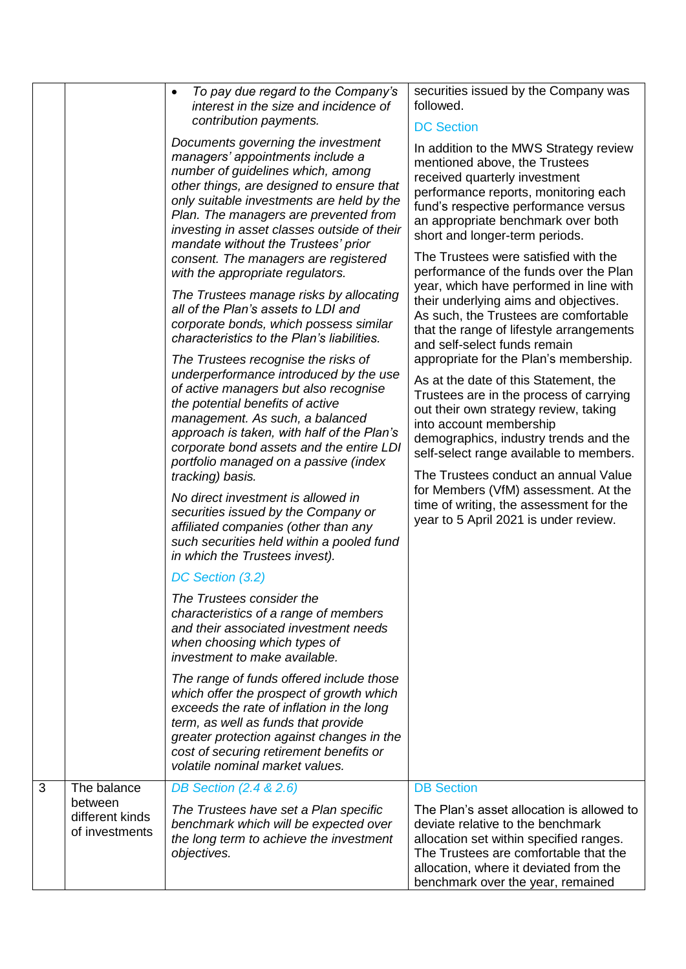|   |                                                             | To pay due regard to the Company's<br>$\bullet$<br>interest in the size and incidence of                                                                                                                                                                                                                                                                                                                                                                                                                                                                                                                                                                                                                                                                                                                                                                                                                        | securities issued by the Company was<br>followed.                                                                                                                                                                                                                                                                                                                                                                                                                                                                                                                                                                                                                                                                                                                                                                                                                      |
|---|-------------------------------------------------------------|-----------------------------------------------------------------------------------------------------------------------------------------------------------------------------------------------------------------------------------------------------------------------------------------------------------------------------------------------------------------------------------------------------------------------------------------------------------------------------------------------------------------------------------------------------------------------------------------------------------------------------------------------------------------------------------------------------------------------------------------------------------------------------------------------------------------------------------------------------------------------------------------------------------------|------------------------------------------------------------------------------------------------------------------------------------------------------------------------------------------------------------------------------------------------------------------------------------------------------------------------------------------------------------------------------------------------------------------------------------------------------------------------------------------------------------------------------------------------------------------------------------------------------------------------------------------------------------------------------------------------------------------------------------------------------------------------------------------------------------------------------------------------------------------------|
|   |                                                             | contribution payments.<br>Documents governing the investment<br>managers' appointments include a<br>number of guidelines which, among<br>other things, are designed to ensure that<br>only suitable investments are held by the<br>Plan. The managers are prevented from<br>investing in asset classes outside of their<br>mandate without the Trustees' prior<br>consent. The managers are registered<br>with the appropriate regulators.<br>The Trustees manage risks by allocating<br>all of the Plan's assets to LDI and<br>corporate bonds, which possess similar<br>characteristics to the Plan's liabilities.<br>The Trustees recognise the risks of<br>underperformance introduced by the use<br>of active managers but also recognise<br>the potential benefits of active<br>management. As such, a balanced<br>approach is taken, with half of the Plan's<br>corporate bond assets and the entire LDI | <b>DC Section</b><br>In addition to the MWS Strategy review<br>mentioned above, the Trustees<br>received quarterly investment<br>performance reports, monitoring each<br>fund's respective performance versus<br>an appropriate benchmark over both<br>short and longer-term periods.<br>The Trustees were satisfied with the<br>performance of the funds over the Plan<br>year, which have performed in line with<br>their underlying aims and objectives.<br>As such, the Trustees are comfortable<br>that the range of lifestyle arrangements<br>and self-select funds remain<br>appropriate for the Plan's membership.<br>As at the date of this Statement, the<br>Trustees are in the process of carrying<br>out their own strategy review, taking<br>into account membership<br>demographics, industry trends and the<br>self-select range available to members. |
|   |                                                             | portfolio managed on a passive (index<br>tracking) basis.<br>No direct investment is allowed in<br>securities issued by the Company or<br>affiliated companies (other than any<br>such securities held within a pooled fund<br>in which the Trustees invest).                                                                                                                                                                                                                                                                                                                                                                                                                                                                                                                                                                                                                                                   | The Trustees conduct an annual Value<br>for Members (VfM) assessment. At the<br>time of writing, the assessment for the<br>year to 5 April 2021 is under review.                                                                                                                                                                                                                                                                                                                                                                                                                                                                                                                                                                                                                                                                                                       |
|   |                                                             | DC Section (3.2)<br>The Trustees consider the<br>characteristics of a range of members<br>and their associated investment needs<br>when choosing which types of<br>investment to make available.<br>The range of funds offered include those                                                                                                                                                                                                                                                                                                                                                                                                                                                                                                                                                                                                                                                                    |                                                                                                                                                                                                                                                                                                                                                                                                                                                                                                                                                                                                                                                                                                                                                                                                                                                                        |
|   |                                                             | which offer the prospect of growth which<br>exceeds the rate of inflation in the long<br>term, as well as funds that provide<br>greater protection against changes in the<br>cost of securing retirement benefits or<br>volatile nominal market values.                                                                                                                                                                                                                                                                                                                                                                                                                                                                                                                                                                                                                                                         |                                                                                                                                                                                                                                                                                                                                                                                                                                                                                                                                                                                                                                                                                                                                                                                                                                                                        |
| 3 | The balance<br>between<br>different kinds<br>of investments | DB Section (2.4 & 2.6)<br>The Trustees have set a Plan specific<br>benchmark which will be expected over<br>the long term to achieve the investment<br>objectives.                                                                                                                                                                                                                                                                                                                                                                                                                                                                                                                                                                                                                                                                                                                                              | <b>DB</b> Section<br>The Plan's asset allocation is allowed to<br>deviate relative to the benchmark<br>allocation set within specified ranges.<br>The Trustees are comfortable that the<br>allocation, where it deviated from the<br>benchmark over the year, remained                                                                                                                                                                                                                                                                                                                                                                                                                                                                                                                                                                                                 |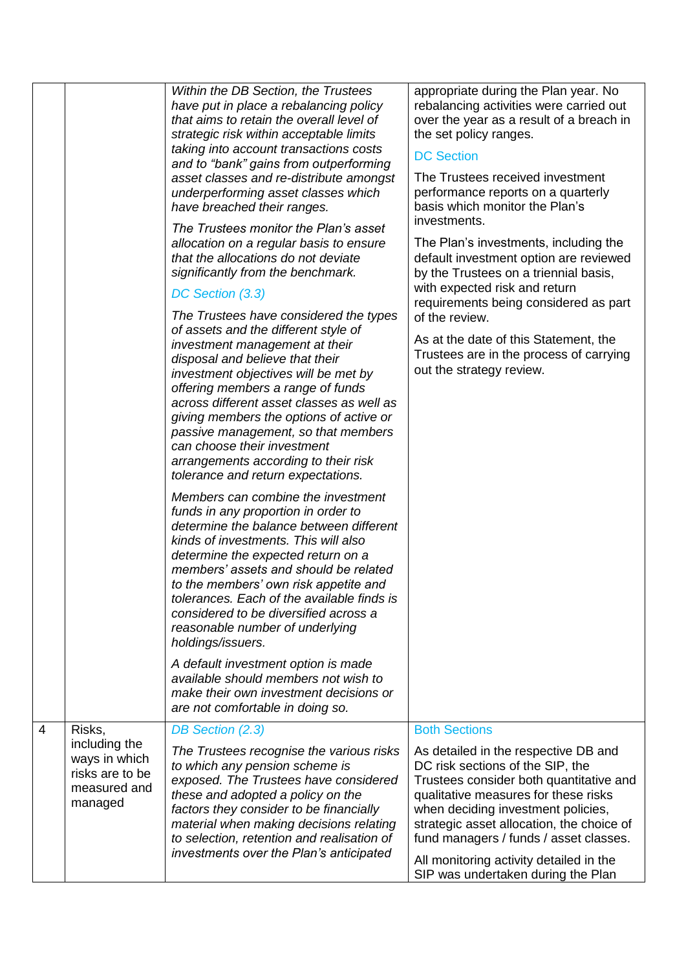|   |                                                                              | Within the DB Section, the Trustees<br>have put in place a rebalancing policy<br>that aims to retain the overall level of<br>strategic risk within acceptable limits<br>taking into account transactions costs<br>and to "bank" gains from outperforming<br>asset classes and re-distribute amongst<br>underperforming asset classes which<br>have breached their ranges.<br>The Trustees monitor the Plan's asset<br>allocation on a regular basis to ensure<br>that the allocations do not deviate<br>significantly from the benchmark.<br>DC Section (3.3)<br>The Trustees have considered the types<br>of assets and the different style of<br>investment management at their<br>disposal and believe that their<br>investment objectives will be met by<br>offering members a range of funds<br>across different asset classes as well as<br>giving members the options of active or<br>passive management, so that members<br>can choose their investment<br>arrangements according to their risk<br>tolerance and return expectations.<br>Members can combine the investment<br>funds in any proportion in order to<br>determine the balance between different<br>kinds of investments. This will also<br>determine the expected return on a<br>members' assets and should be related<br>to the members' own risk appetite and<br>tolerances. Each of the available finds is<br>considered to be diversified across a<br>reasonable number of underlying<br>holdings/issuers.<br>A default investment option is made | appropriate during the Plan year. No<br>rebalancing activities were carried out<br>over the year as a result of a breach in<br>the set policy ranges.<br><b>DC Section</b><br>The Trustees received investment<br>performance reports on a quarterly<br>basis which monitor the Plan's<br>investments.<br>The Plan's investments, including the<br>default investment option are reviewed<br>by the Trustees on a triennial basis,<br>with expected risk and return<br>requirements being considered as part<br>of the review.<br>As at the date of this Statement, the<br>Trustees are in the process of carrying<br>out the strategy review. |
|---|------------------------------------------------------------------------------|-----------------------------------------------------------------------------------------------------------------------------------------------------------------------------------------------------------------------------------------------------------------------------------------------------------------------------------------------------------------------------------------------------------------------------------------------------------------------------------------------------------------------------------------------------------------------------------------------------------------------------------------------------------------------------------------------------------------------------------------------------------------------------------------------------------------------------------------------------------------------------------------------------------------------------------------------------------------------------------------------------------------------------------------------------------------------------------------------------------------------------------------------------------------------------------------------------------------------------------------------------------------------------------------------------------------------------------------------------------------------------------------------------------------------------------------------------------------------------------------------------------------------------|------------------------------------------------------------------------------------------------------------------------------------------------------------------------------------------------------------------------------------------------------------------------------------------------------------------------------------------------------------------------------------------------------------------------------------------------------------------------------------------------------------------------------------------------------------------------------------------------------------------------------------------------|
|   |                                                                              | available should members not wish to<br>make their own investment decisions or<br>are not comfortable in doing so.                                                                                                                                                                                                                                                                                                                                                                                                                                                                                                                                                                                                                                                                                                                                                                                                                                                                                                                                                                                                                                                                                                                                                                                                                                                                                                                                                                                                          |                                                                                                                                                                                                                                                                                                                                                                                                                                                                                                                                                                                                                                                |
| 4 | Risks,                                                                       | DB Section (2.3)                                                                                                                                                                                                                                                                                                                                                                                                                                                                                                                                                                                                                                                                                                                                                                                                                                                                                                                                                                                                                                                                                                                                                                                                                                                                                                                                                                                                                                                                                                            | <b>Both Sections</b>                                                                                                                                                                                                                                                                                                                                                                                                                                                                                                                                                                                                                           |
|   | including the<br>ways in which<br>risks are to be<br>measured and<br>managed | The Trustees recognise the various risks<br>to which any pension scheme is<br>exposed. The Trustees have considered<br>these and adopted a policy on the<br>factors they consider to be financially<br>material when making decisions relating<br>to selection, retention and realisation of<br>investments over the Plan's anticipated                                                                                                                                                                                                                                                                                                                                                                                                                                                                                                                                                                                                                                                                                                                                                                                                                                                                                                                                                                                                                                                                                                                                                                                     | As detailed in the respective DB and<br>DC risk sections of the SIP, the<br>Trustees consider both quantitative and<br>qualitative measures for these risks<br>when deciding investment policies,<br>strategic asset allocation, the choice of<br>fund managers / funds / asset classes.<br>All monitoring activity detailed in the<br>SIP was undertaken during the Plan                                                                                                                                                                                                                                                                      |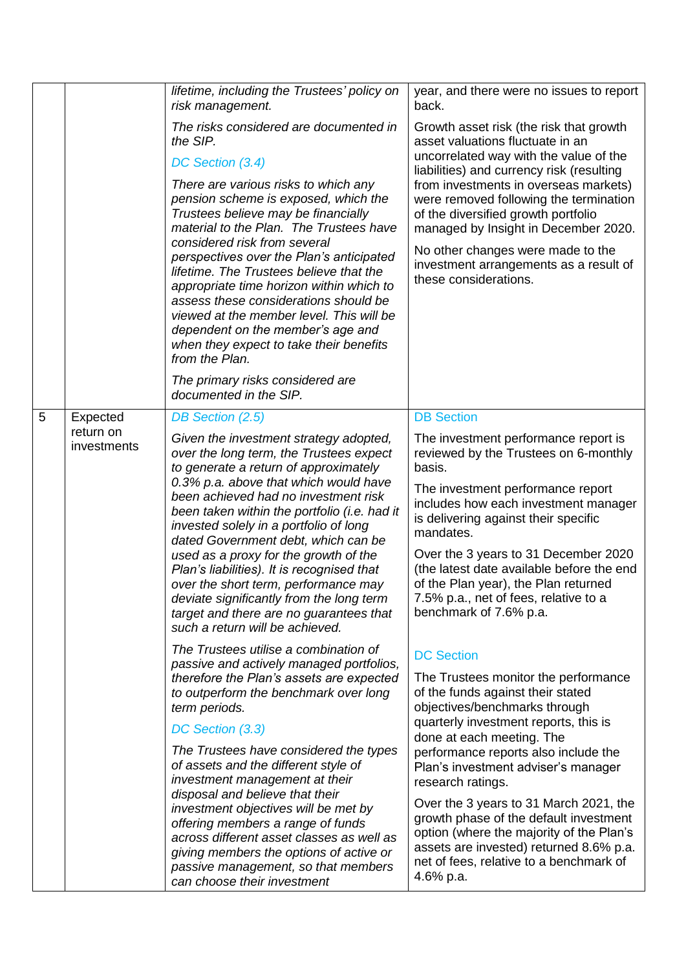|   |                                      | lifetime, including the Trustees' policy on<br>risk management.<br>The risks considered are documented in<br>the SIP.<br>DC Section (3.4)<br>There are various risks to which any<br>pension scheme is exposed, which the<br>Trustees believe may be financially<br>material to the Plan. The Trustees have<br>considered risk from several<br>perspectives over the Plan's anticipated<br>lifetime. The Trustees believe that the<br>appropriate time horizon within which to<br>assess these considerations should be<br>viewed at the member level. This will be<br>dependent on the member's age and<br>when they expect to take their benefits<br>from the Plan.<br>The primary risks considered are<br>documented in the SIP.                                                                                                                                                                                                                                                                                                                                                                                                                                                                                                        | year, and there were no issues to report<br>back.<br>Growth asset risk (the risk that growth<br>asset valuations fluctuate in an<br>uncorrelated way with the value of the<br>liabilities) and currency risk (resulting<br>from investments in overseas markets)<br>were removed following the termination<br>of the diversified growth portfolio<br>managed by Insight in December 2020.<br>No other changes were made to the<br>investment arrangements as a result of<br>these considerations.                                                                                                                                                                                                                                                                                                                                                                                                                                                                                              |
|---|--------------------------------------|--------------------------------------------------------------------------------------------------------------------------------------------------------------------------------------------------------------------------------------------------------------------------------------------------------------------------------------------------------------------------------------------------------------------------------------------------------------------------------------------------------------------------------------------------------------------------------------------------------------------------------------------------------------------------------------------------------------------------------------------------------------------------------------------------------------------------------------------------------------------------------------------------------------------------------------------------------------------------------------------------------------------------------------------------------------------------------------------------------------------------------------------------------------------------------------------------------------------------------------------|------------------------------------------------------------------------------------------------------------------------------------------------------------------------------------------------------------------------------------------------------------------------------------------------------------------------------------------------------------------------------------------------------------------------------------------------------------------------------------------------------------------------------------------------------------------------------------------------------------------------------------------------------------------------------------------------------------------------------------------------------------------------------------------------------------------------------------------------------------------------------------------------------------------------------------------------------------------------------------------------|
| 5 | Expected<br>return on<br>investments | DB Section (2.5)<br>Given the investment strategy adopted,<br>over the long term, the Trustees expect<br>to generate a return of approximately<br>0.3% p.a. above that which would have<br>been achieved had no investment risk<br>been taken within the portfolio (i.e. had it<br>invested solely in a portfolio of long<br>dated Government debt, which can be<br>used as a proxy for the growth of the<br>Plan's liabilities). It is recognised that<br>over the short term, performance may<br>deviate significantly from the long term<br>target and there are no guarantees that<br>such a return will be achieved.<br>The Trustees utilise a combination of<br>passive and actively managed portfolios,<br>therefore the Plan's assets are expected<br>to outperform the benchmark over long<br>term periods.<br>DC Section (3.3)<br>The Trustees have considered the types<br>of assets and the different style of<br>investment management at their<br>disposal and believe that their<br>investment objectives will be met by<br>offering members a range of funds<br>across different asset classes as well as<br>giving members the options of active or<br>passive management, so that members<br>can choose their investment | <b>DB Section</b><br>The investment performance report is<br>reviewed by the Trustees on 6-monthly<br>basis.<br>The investment performance report<br>includes how each investment manager<br>is delivering against their specific<br>mandates.<br>Over the 3 years to 31 December 2020<br>(the latest date available before the end<br>of the Plan year), the Plan returned<br>7.5% p.a., net of fees, relative to a<br>benchmark of 7.6% p.a.<br><b>DC Section</b><br>The Trustees monitor the performance<br>of the funds against their stated<br>objectives/benchmarks through<br>quarterly investment reports, this is<br>done at each meeting. The<br>performance reports also include the<br>Plan's investment adviser's manager<br>research ratings.<br>Over the 3 years to 31 March 2021, the<br>growth phase of the default investment<br>option (where the majority of the Plan's<br>assets are invested) returned 8.6% p.a.<br>net of fees, relative to a benchmark of<br>4.6% p.a. |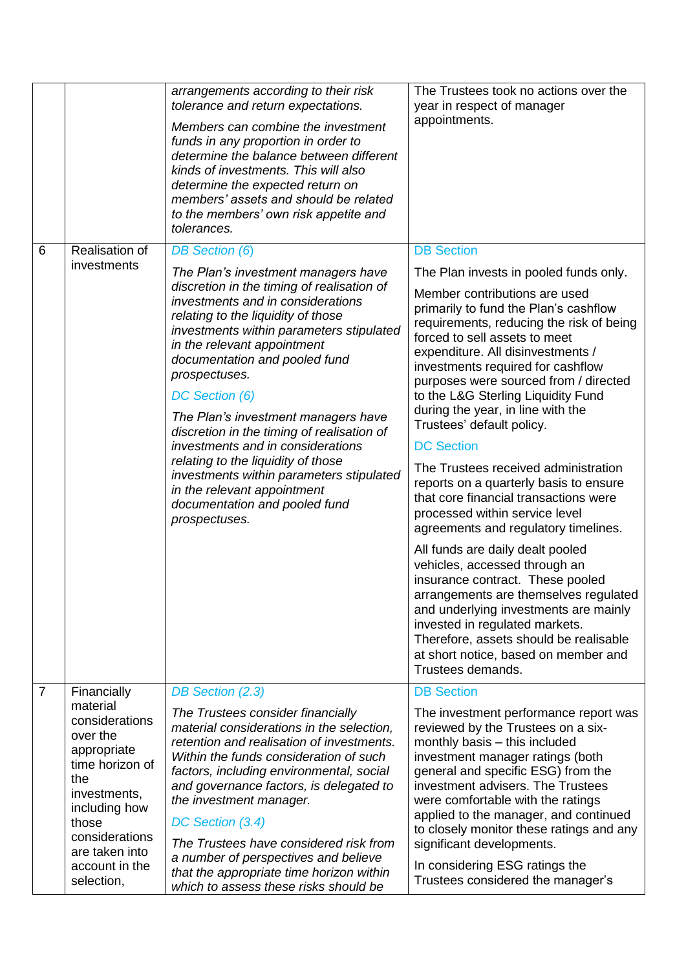|                |                                                                                                                                                                                                              | arrangements according to their risk<br>tolerance and return expectations.<br>Members can combine the investment<br>funds in any proportion in order to<br>determine the balance between different<br>kinds of investments. This will also<br>determine the expected return on<br>members' assets and should be related<br>to the members' own risk appetite and<br>tolerances.                                                                                                                                                                                                                                                   | The Trustees took no actions over the<br>year in respect of manager<br>appointments.                                                                                                                                                                                                                                                                                                                                                                                                                                                                                                                                                                                                                                                                                                                                                                                                                                                                                                                        |
|----------------|--------------------------------------------------------------------------------------------------------------------------------------------------------------------------------------------------------------|-----------------------------------------------------------------------------------------------------------------------------------------------------------------------------------------------------------------------------------------------------------------------------------------------------------------------------------------------------------------------------------------------------------------------------------------------------------------------------------------------------------------------------------------------------------------------------------------------------------------------------------|-------------------------------------------------------------------------------------------------------------------------------------------------------------------------------------------------------------------------------------------------------------------------------------------------------------------------------------------------------------------------------------------------------------------------------------------------------------------------------------------------------------------------------------------------------------------------------------------------------------------------------------------------------------------------------------------------------------------------------------------------------------------------------------------------------------------------------------------------------------------------------------------------------------------------------------------------------------------------------------------------------------|
| 6              | Realisation of<br>investments                                                                                                                                                                                | <b>DB</b> Section (6)<br>The Plan's investment managers have<br>discretion in the timing of realisation of<br>investments and in considerations<br>relating to the liquidity of those<br>investments within parameters stipulated<br>in the relevant appointment<br>documentation and pooled fund<br>prospectuses.<br>DC Section (6)<br>The Plan's investment managers have<br>discretion in the timing of realisation of<br>investments and in considerations<br>relating to the liquidity of those<br>investments within parameters stipulated<br>in the relevant appointment<br>documentation and pooled fund<br>prospectuses. | <b>DB Section</b><br>The Plan invests in pooled funds only.<br>Member contributions are used<br>primarily to fund the Plan's cashflow<br>requirements, reducing the risk of being<br>forced to sell assets to meet<br>expenditure. All disinvestments /<br>investments required for cashflow<br>purposes were sourced from / directed<br>to the L&G Sterling Liquidity Fund<br>during the year, in line with the<br>Trustees' default policy.<br><b>DC Section</b><br>The Trustees received administration<br>reports on a quarterly basis to ensure<br>that core financial transactions were<br>processed within service level<br>agreements and regulatory timelines.<br>All funds are daily dealt pooled<br>vehicles, accessed through an<br>insurance contract. These pooled<br>arrangements are themselves regulated<br>and underlying investments are mainly<br>invested in regulated markets.<br>Therefore, assets should be realisable<br>at short notice, based on member and<br>Trustees demands. |
| $\overline{7}$ | Financially<br>material<br>considerations<br>over the<br>appropriate<br>time horizon of<br>the<br>investments,<br>including how<br>those<br>considerations<br>are taken into<br>account in the<br>selection, | DB Section (2.3)<br>The Trustees consider financially<br>material considerations in the selection,<br>retention and realisation of investments.<br>Within the funds consideration of such<br>factors, including environmental, social<br>and governance factors, is delegated to<br>the investment manager.<br>DC Section (3.4)<br>The Trustees have considered risk from<br>a number of perspectives and believe<br>that the appropriate time horizon within<br>which to assess these risks should be                                                                                                                            | <b>DB Section</b><br>The investment performance report was<br>reviewed by the Trustees on a six-<br>monthly basis - this included<br>investment manager ratings (both<br>general and specific ESG) from the<br>investment advisers. The Trustees<br>were comfortable with the ratings<br>applied to the manager, and continued<br>to closely monitor these ratings and any<br>significant developments.<br>In considering ESG ratings the<br>Trustees considered the manager's                                                                                                                                                                                                                                                                                                                                                                                                                                                                                                                              |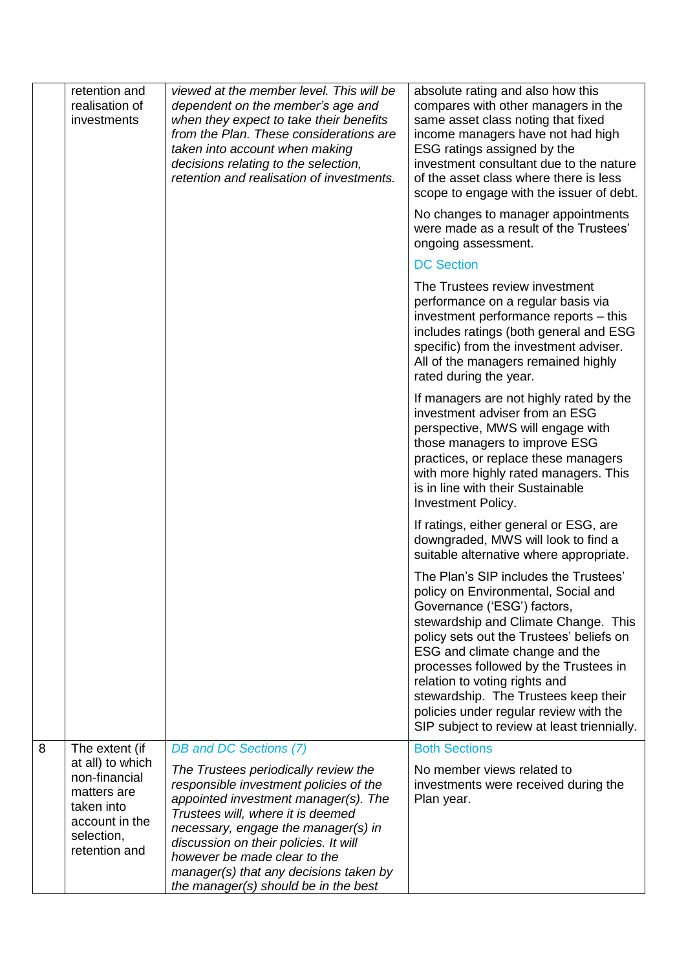|   | retention and<br>realisation of<br>investments                                                                  | viewed at the member level. This will be<br>dependent on the member's age and<br>when they expect to take their benefits<br>from the Plan. These considerations are<br>taken into account when making<br>decisions relating to the selection,<br>retention and realisation of investments.                                                                    | absolute rating and also how this<br>compares with other managers in the<br>same asset class noting that fixed<br>income managers have not had high<br>ESG ratings assigned by the<br>investment consultant due to the nature<br>of the asset class where there is less<br>scope to engage with the issuer of debt.                                                                                                                          |
|---|-----------------------------------------------------------------------------------------------------------------|---------------------------------------------------------------------------------------------------------------------------------------------------------------------------------------------------------------------------------------------------------------------------------------------------------------------------------------------------------------|----------------------------------------------------------------------------------------------------------------------------------------------------------------------------------------------------------------------------------------------------------------------------------------------------------------------------------------------------------------------------------------------------------------------------------------------|
|   |                                                                                                                 |                                                                                                                                                                                                                                                                                                                                                               | No changes to manager appointments<br>were made as a result of the Trustees'<br>ongoing assessment.                                                                                                                                                                                                                                                                                                                                          |
|   |                                                                                                                 |                                                                                                                                                                                                                                                                                                                                                               | <b>DC Section</b>                                                                                                                                                                                                                                                                                                                                                                                                                            |
|   |                                                                                                                 |                                                                                                                                                                                                                                                                                                                                                               | The Trustees review investment<br>performance on a regular basis via<br>investment performance reports – this<br>includes ratings (both general and ESG<br>specific) from the investment adviser.<br>All of the managers remained highly<br>rated during the year.                                                                                                                                                                           |
|   |                                                                                                                 |                                                                                                                                                                                                                                                                                                                                                               | If managers are not highly rated by the<br>investment adviser from an ESG<br>perspective, MWS will engage with<br>those managers to improve ESG<br>practices, or replace these managers<br>with more highly rated managers. This<br>is in line with their Sustainable<br>Investment Policy.                                                                                                                                                  |
|   |                                                                                                                 |                                                                                                                                                                                                                                                                                                                                                               | If ratings, either general or ESG, are<br>downgraded, MWS will look to find a<br>suitable alternative where appropriate.                                                                                                                                                                                                                                                                                                                     |
|   |                                                                                                                 |                                                                                                                                                                                                                                                                                                                                                               | The Plan's SIP includes the Trustees'<br>policy on Environmental, Social and<br>Governance ('ESG') factors,<br>stewardship and Climate Change. This<br>policy sets out the Trustees' beliefs on<br>ESG and climate change and the<br>processes followed by the Trustees in<br>relation to voting rights and<br>stewardship. The Trustees keep their<br>policies under regular review with the<br>SIP subject to review at least triennially. |
| 8 | The extent (if                                                                                                  | DB and DC Sections (7)                                                                                                                                                                                                                                                                                                                                        | <b>Both Sections</b>                                                                                                                                                                                                                                                                                                                                                                                                                         |
|   | at all) to which<br>non-financial<br>matters are<br>taken into<br>account in the<br>selection,<br>retention and | The Trustees periodically review the<br>responsible investment policies of the<br>appointed investment manager(s). The<br>Trustees will, where it is deemed<br>necessary, engage the manager(s) in<br>discussion on their policies. It will<br>however be made clear to the<br>manager(s) that any decisions taken by<br>the manager(s) should be in the best | No member views related to<br>investments were received during the<br>Plan year.                                                                                                                                                                                                                                                                                                                                                             |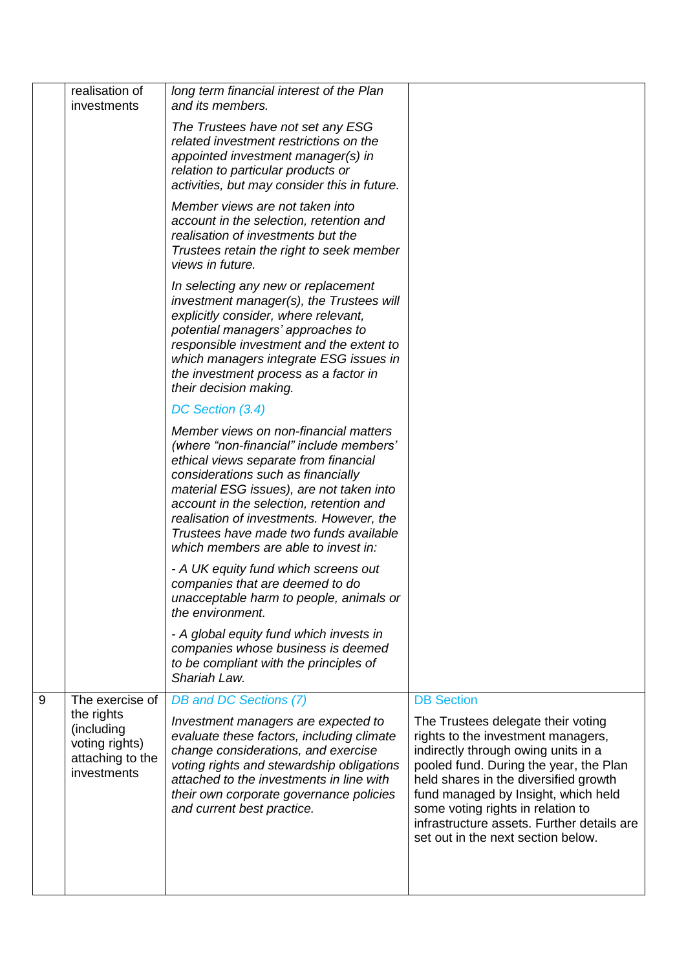|   | realisation of<br>investments                                                 | long term financial interest of the Plan<br>and its members.                                                                                                                                                                                                                                                                                                                         |                                                                                                                                                                                                                                                                                                                                                                    |
|---|-------------------------------------------------------------------------------|--------------------------------------------------------------------------------------------------------------------------------------------------------------------------------------------------------------------------------------------------------------------------------------------------------------------------------------------------------------------------------------|--------------------------------------------------------------------------------------------------------------------------------------------------------------------------------------------------------------------------------------------------------------------------------------------------------------------------------------------------------------------|
|   |                                                                               | The Trustees have not set any ESG<br>related investment restrictions on the<br>appointed investment manager(s) in<br>relation to particular products or<br>activities, but may consider this in future.                                                                                                                                                                              |                                                                                                                                                                                                                                                                                                                                                                    |
|   |                                                                               | Member views are not taken into<br>account in the selection, retention and<br>realisation of investments but the<br>Trustees retain the right to seek member<br>views in future.                                                                                                                                                                                                     |                                                                                                                                                                                                                                                                                                                                                                    |
|   |                                                                               | In selecting any new or replacement<br>investment manager(s), the Trustees will<br>explicitly consider, where relevant,<br>potential managers' approaches to<br>responsible investment and the extent to<br>which managers integrate ESG issues in<br>the investment process as a factor in<br>their decision making.                                                                |                                                                                                                                                                                                                                                                                                                                                                    |
|   |                                                                               | DC Section (3.4)                                                                                                                                                                                                                                                                                                                                                                     |                                                                                                                                                                                                                                                                                                                                                                    |
|   |                                                                               | Member views on non-financial matters<br>(where "non-financial" include members'<br>ethical views separate from financial<br>considerations such as financially<br>material ESG issues), are not taken into<br>account in the selection, retention and<br>realisation of investments. However, the<br>Trustees have made two funds available<br>which members are able to invest in: |                                                                                                                                                                                                                                                                                                                                                                    |
|   |                                                                               | - A UK equity fund which screens out<br>companies that are deemed to do<br>unacceptable harm to people, animals or<br>the environment.                                                                                                                                                                                                                                               |                                                                                                                                                                                                                                                                                                                                                                    |
|   |                                                                               | - A global equity fund which invests in<br>companies whose business is deemed<br>to be compliant with the principles of<br>Shariah Law.                                                                                                                                                                                                                                              |                                                                                                                                                                                                                                                                                                                                                                    |
| 9 | The exercise of                                                               | DB and DC Sections (7)                                                                                                                                                                                                                                                                                                                                                               | <b>DB Section</b>                                                                                                                                                                                                                                                                                                                                                  |
|   | the rights<br>(including<br>voting rights)<br>attaching to the<br>investments | Investment managers are expected to<br>evaluate these factors, including climate<br>change considerations, and exercise<br>voting rights and stewardship obligations<br>attached to the investments in line with<br>their own corporate governance policies<br>and current best practice.                                                                                            | The Trustees delegate their voting<br>rights to the investment managers,<br>indirectly through owing units in a<br>pooled fund. During the year, the Plan<br>held shares in the diversified growth<br>fund managed by Insight, which held<br>some voting rights in relation to<br>infrastructure assets. Further details are<br>set out in the next section below. |
|   |                                                                               |                                                                                                                                                                                                                                                                                                                                                                                      |                                                                                                                                                                                                                                                                                                                                                                    |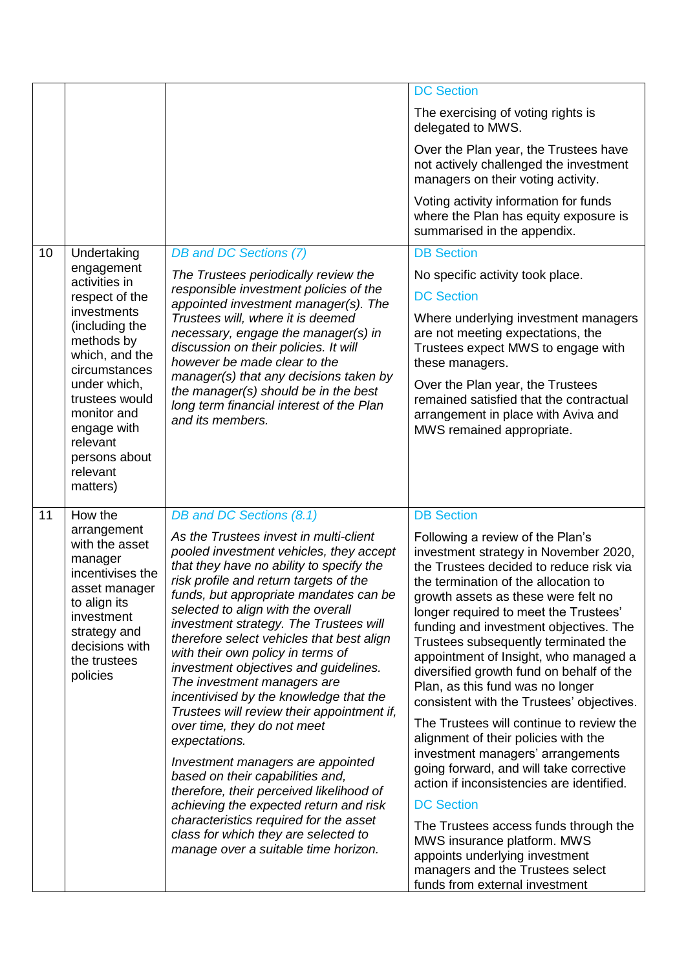|    |                                                                                                                                                                           |                                                                                                                                                                                                                                                                                                                                                                                                                                                                                                                                                     | <b>DC Section</b>                                                                                                                                                                                                                                                                                                                                                                                                                                                                                    |
|----|---------------------------------------------------------------------------------------------------------------------------------------------------------------------------|-----------------------------------------------------------------------------------------------------------------------------------------------------------------------------------------------------------------------------------------------------------------------------------------------------------------------------------------------------------------------------------------------------------------------------------------------------------------------------------------------------------------------------------------------------|------------------------------------------------------------------------------------------------------------------------------------------------------------------------------------------------------------------------------------------------------------------------------------------------------------------------------------------------------------------------------------------------------------------------------------------------------------------------------------------------------|
|    |                                                                                                                                                                           |                                                                                                                                                                                                                                                                                                                                                                                                                                                                                                                                                     | The exercising of voting rights is<br>delegated to MWS.                                                                                                                                                                                                                                                                                                                                                                                                                                              |
|    |                                                                                                                                                                           |                                                                                                                                                                                                                                                                                                                                                                                                                                                                                                                                                     | Over the Plan year, the Trustees have<br>not actively challenged the investment<br>managers on their voting activity.                                                                                                                                                                                                                                                                                                                                                                                |
|    |                                                                                                                                                                           |                                                                                                                                                                                                                                                                                                                                                                                                                                                                                                                                                     | Voting activity information for funds<br>where the Plan has equity exposure is<br>summarised in the appendix.                                                                                                                                                                                                                                                                                                                                                                                        |
| 10 | Undertaking                                                                                                                                                               | DB and DC Sections (7)                                                                                                                                                                                                                                                                                                                                                                                                                                                                                                                              | <b>DB Section</b>                                                                                                                                                                                                                                                                                                                                                                                                                                                                                    |
|    | engagement<br>activities in                                                                                                                                               | The Trustees periodically review the                                                                                                                                                                                                                                                                                                                                                                                                                                                                                                                | No specific activity took place.                                                                                                                                                                                                                                                                                                                                                                                                                                                                     |
|    | respect of the                                                                                                                                                            | responsible investment policies of the                                                                                                                                                                                                                                                                                                                                                                                                                                                                                                              | <b>DC Section</b>                                                                                                                                                                                                                                                                                                                                                                                                                                                                                    |
|    | investments<br>(including the<br>methods by<br>which, and the<br>circumstances                                                                                            | appointed investment manager(s). The<br>Trustees will, where it is deemed<br>necessary, engage the manager(s) in<br>discussion on their policies. It will<br>however be made clear to the                                                                                                                                                                                                                                                                                                                                                           | Where underlying investment managers<br>are not meeting expectations, the<br>Trustees expect MWS to engage with<br>these managers.                                                                                                                                                                                                                                                                                                                                                                   |
|    | under which,<br>trustees would<br>monitor and<br>engage with<br>relevant<br>persons about                                                                                 | manager(s) that any decisions taken by<br>the manager(s) should be in the best<br>long term financial interest of the Plan<br>and its members.                                                                                                                                                                                                                                                                                                                                                                                                      | Over the Plan year, the Trustees<br>remained satisfied that the contractual<br>arrangement in place with Aviva and<br>MWS remained appropriate.                                                                                                                                                                                                                                                                                                                                                      |
|    | relevant<br>matters)                                                                                                                                                      |                                                                                                                                                                                                                                                                                                                                                                                                                                                                                                                                                     |                                                                                                                                                                                                                                                                                                                                                                                                                                                                                                      |
| 11 | How the                                                                                                                                                                   | DB and DC Sections (8.1)                                                                                                                                                                                                                                                                                                                                                                                                                                                                                                                            | <b>DB Section</b>                                                                                                                                                                                                                                                                                                                                                                                                                                                                                    |
|    | arrangement<br>with the asset<br>manager<br>incentivises the<br>asset manager<br>to align its<br>investment<br>strategy and<br>decisions with<br>the trustees<br>policies | As the Trustees invest in multi-client<br>pooled investment vehicles, they accept<br>that they have no ability to specify the<br>risk profile and return targets of the<br>funds, but appropriate mandates can be<br>selected to align with the overall<br>investment strategy. The Trustees will<br>therefore select vehicles that best align<br>with their own policy in terms of<br>investment objectives and guidelines.<br>The investment managers are<br>incentivised by the knowledge that the<br>Trustees will review their appointment if, | Following a review of the Plan's<br>investment strategy in November 2020,<br>the Trustees decided to reduce risk via<br>the termination of the allocation to<br>growth assets as these were felt no<br>longer required to meet the Trustees'<br>funding and investment objectives. The<br>Trustees subsequently terminated the<br>appointment of Insight, who managed a<br>diversified growth fund on behalf of the<br>Plan, as this fund was no longer<br>consistent with the Trustees' objectives. |
|    |                                                                                                                                                                           | over time, they do not meet<br>expectations.<br>Investment managers are appointed<br>based on their capabilities and,                                                                                                                                                                                                                                                                                                                                                                                                                               | The Trustees will continue to review the<br>alignment of their policies with the<br>investment managers' arrangements<br>going forward, and will take corrective                                                                                                                                                                                                                                                                                                                                     |
|    |                                                                                                                                                                           | therefore, their perceived likelihood of                                                                                                                                                                                                                                                                                                                                                                                                                                                                                                            | action if inconsistencies are identified.                                                                                                                                                                                                                                                                                                                                                                                                                                                            |
|    |                                                                                                                                                                           | achieving the expected return and risk<br>characteristics required for the asset                                                                                                                                                                                                                                                                                                                                                                                                                                                                    | <b>DC Section</b>                                                                                                                                                                                                                                                                                                                                                                                                                                                                                    |
|    |                                                                                                                                                                           | class for which they are selected to<br>manage over a suitable time horizon.                                                                                                                                                                                                                                                                                                                                                                                                                                                                        | The Trustees access funds through the<br>MWS insurance platform. MWS<br>appoints underlying investment<br>managers and the Trustees select<br>funds from external investment                                                                                                                                                                                                                                                                                                                         |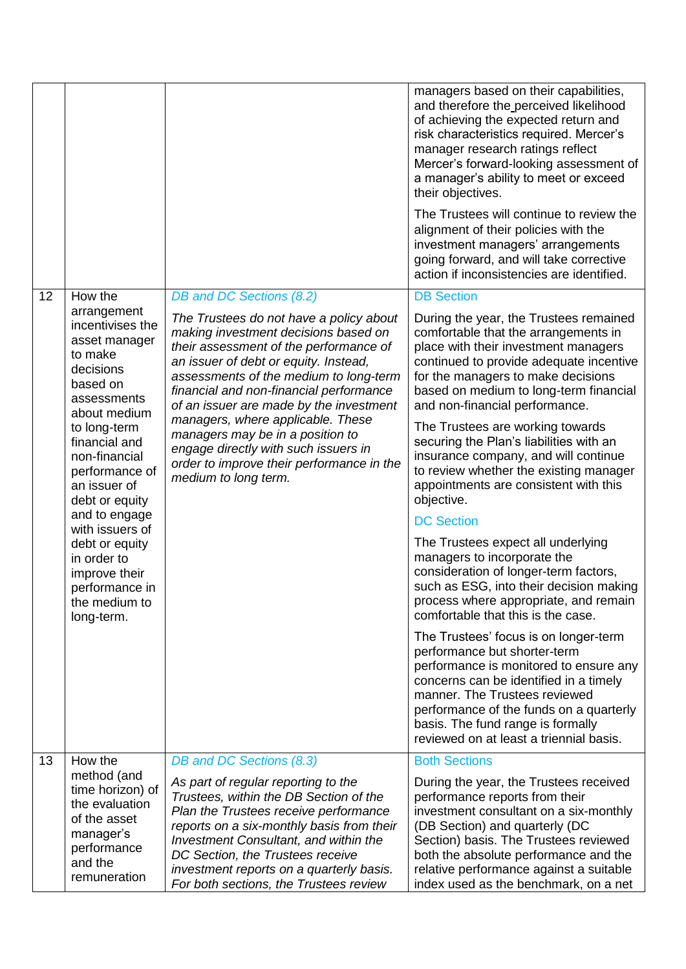|    |                                                                                                                          |                                                                                                                                                                                                                                                                                                                                               | managers based on their capabilities,<br>and therefore the perceived likelihood<br>of achieving the expected return and<br>risk characteristics required. Mercer's<br>manager research ratings reflect<br>Mercer's forward-looking assessment of<br>a manager's ability to meet or exceed<br>their objectives.             |
|----|--------------------------------------------------------------------------------------------------------------------------|-----------------------------------------------------------------------------------------------------------------------------------------------------------------------------------------------------------------------------------------------------------------------------------------------------------------------------------------------|----------------------------------------------------------------------------------------------------------------------------------------------------------------------------------------------------------------------------------------------------------------------------------------------------------------------------|
|    |                                                                                                                          |                                                                                                                                                                                                                                                                                                                                               | The Trustees will continue to review the<br>alignment of their policies with the<br>investment managers' arrangements<br>going forward, and will take corrective<br>action if inconsistencies are identified.                                                                                                              |
| 12 | How the                                                                                                                  | DB and DC Sections (8.2)                                                                                                                                                                                                                                                                                                                      | <b>DB Section</b>                                                                                                                                                                                                                                                                                                          |
|    | arrangement<br>incentivises the<br>asset manager<br>to make<br>decisions<br>based on<br>assessments<br>about medium      | The Trustees do not have a policy about<br>making investment decisions based on<br>their assessment of the performance of<br>an issuer of debt or equity. Instead,<br>assessments of the medium to long-term<br>financial and non-financial performance<br>of an issuer are made by the investment                                            | During the year, the Trustees remained<br>comfortable that the arrangements in<br>place with their investment managers<br>continued to provide adequate incentive<br>for the managers to make decisions<br>based on medium to long-term financial<br>and non-financial performance.                                        |
|    | to long-term<br>financial and<br>non-financial<br>performance of<br>an issuer of<br>debt or equity                       | managers, where applicable. These<br>managers may be in a position to<br>engage directly with such issuers in<br>order to improve their performance in the<br>medium to long term.                                                                                                                                                            | The Trustees are working towards<br>securing the Plan's liabilities with an<br>insurance company, and will continue<br>to review whether the existing manager<br>appointments are consistent with this<br>objective.                                                                                                       |
|    | and to engage<br>with issuers of                                                                                         |                                                                                                                                                                                                                                                                                                                                               | <b>DC Section</b>                                                                                                                                                                                                                                                                                                          |
|    | debt or equity<br>in order to<br>improve their<br>performance in<br>the medium to<br>long-term.                          |                                                                                                                                                                                                                                                                                                                                               | The Trustees expect all underlying<br>managers to incorporate the<br>consideration of longer-term factors,<br>such as ESG, into their decision making<br>process where appropriate, and remain<br>comfortable that this is the case.                                                                                       |
|    |                                                                                                                          |                                                                                                                                                                                                                                                                                                                                               | The Trustees' focus is on longer-term<br>performance but shorter-term<br>performance is monitored to ensure any<br>concerns can be identified in a timely<br>manner. The Trustees reviewed<br>performance of the funds on a quarterly<br>basis. The fund range is formally<br>reviewed on at least a triennial basis.      |
| 13 | How the                                                                                                                  | DB and DC Sections (8.3)                                                                                                                                                                                                                                                                                                                      | <b>Both Sections</b>                                                                                                                                                                                                                                                                                                       |
|    | method (and<br>time horizon) of<br>the evaluation<br>of the asset<br>manager's<br>performance<br>and the<br>remuneration | As part of regular reporting to the<br>Trustees, within the DB Section of the<br>Plan the Trustees receive performance<br>reports on a six-monthly basis from their<br><b>Investment Consultant, and within the</b><br>DC Section, the Trustees receive<br>investment reports on a quarterly basis.<br>For both sections, the Trustees review | During the year, the Trustees received<br>performance reports from their<br>investment consultant on a six-monthly<br>(DB Section) and quarterly (DC<br>Section) basis. The Trustees reviewed<br>both the absolute performance and the<br>relative performance against a suitable<br>index used as the benchmark, on a net |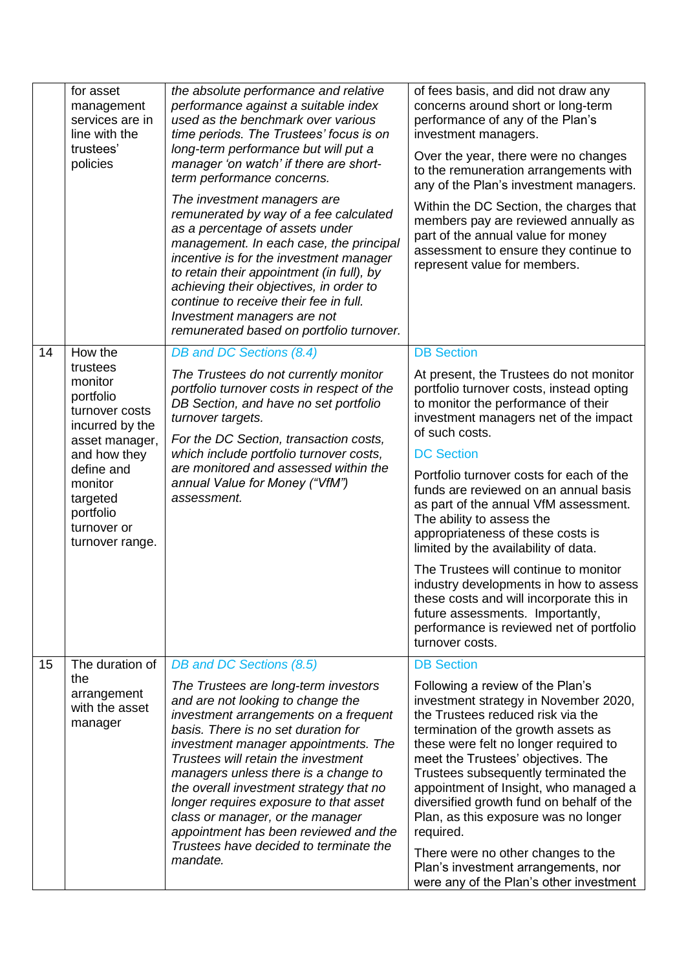|    | for asset<br>management<br>services are in<br>line with the<br>trustees'<br>policies    | the absolute performance and relative<br>performance against a suitable index<br>used as the benchmark over various<br>time periods. The Trustees' focus is on<br>long-term performance but will put a<br>manager 'on watch' if there are short-<br>term performance concerns.<br>The investment managers are<br>remunerated by way of a fee calculated<br>as a percentage of assets under<br>management. In each case, the principal<br>incentive is for the investment manager<br>to retain their appointment (in full), by<br>achieving their objectives, in order to<br>continue to receive their fee in full. | of fees basis, and did not draw any<br>concerns around short or long-term<br>performance of any of the Plan's<br>investment managers.<br>Over the year, there were no changes<br>to the remuneration arrangements with<br>any of the Plan's investment managers.<br>Within the DC Section, the charges that<br>members pay are reviewed annually as<br>part of the annual value for money<br>assessment to ensure they continue to<br>represent value for members. |
|----|-----------------------------------------------------------------------------------------|--------------------------------------------------------------------------------------------------------------------------------------------------------------------------------------------------------------------------------------------------------------------------------------------------------------------------------------------------------------------------------------------------------------------------------------------------------------------------------------------------------------------------------------------------------------------------------------------------------------------|--------------------------------------------------------------------------------------------------------------------------------------------------------------------------------------------------------------------------------------------------------------------------------------------------------------------------------------------------------------------------------------------------------------------------------------------------------------------|
|    |                                                                                         | Investment managers are not<br>remunerated based on portfolio turnover.                                                                                                                                                                                                                                                                                                                                                                                                                                                                                                                                            |                                                                                                                                                                                                                                                                                                                                                                                                                                                                    |
| 14 | How the                                                                                 | DB and DC Sections (8.4)                                                                                                                                                                                                                                                                                                                                                                                                                                                                                                                                                                                           | <b>DB Section</b>                                                                                                                                                                                                                                                                                                                                                                                                                                                  |
|    | trustees<br>monitor<br>portfolio<br>turnover costs<br>incurred by the<br>asset manager, | The Trustees do not currently monitor<br>portfolio turnover costs in respect of the<br>DB Section, and have no set portfolio<br>turnover targets.<br>For the DC Section, transaction costs,                                                                                                                                                                                                                                                                                                                                                                                                                        | At present, the Trustees do not monitor<br>portfolio turnover costs, instead opting<br>to monitor the performance of their<br>investment managers net of the impact<br>of such costs.                                                                                                                                                                                                                                                                              |
|    | and how they                                                                            | which include portfolio turnover costs,                                                                                                                                                                                                                                                                                                                                                                                                                                                                                                                                                                            | <b>DC Section</b>                                                                                                                                                                                                                                                                                                                                                                                                                                                  |
|    | define and<br>monitor<br>targeted<br>portfolio<br>turnover or<br>turnover range.        | are monitored and assessed within the<br>annual Value for Money ("VfM")<br>assessment.                                                                                                                                                                                                                                                                                                                                                                                                                                                                                                                             | Portfolio turnover costs for each of the<br>funds are reviewed on an annual basis<br>as part of the annual VfM assessment.<br>The ability to assess the<br>appropriateness of these costs is<br>limited by the availability of data.                                                                                                                                                                                                                               |
|    |                                                                                         |                                                                                                                                                                                                                                                                                                                                                                                                                                                                                                                                                                                                                    | The Trustees will continue to monitor<br>industry developments in how to assess<br>these costs and will incorporate this in<br>future assessments. Importantly,<br>performance is reviewed net of portfolio<br>turnover costs.                                                                                                                                                                                                                                     |
| 15 | The duration of                                                                         | DB and DC Sections (8.5)                                                                                                                                                                                                                                                                                                                                                                                                                                                                                                                                                                                           | <b>DB Section</b>                                                                                                                                                                                                                                                                                                                                                                                                                                                  |
|    | the<br>arrangement<br>with the asset<br>manager                                         | The Trustees are long-term investors<br>and are not looking to change the<br>investment arrangements on a frequent<br>basis. There is no set duration for<br>investment manager appointments. The<br>Trustees will retain the investment<br>managers unless there is a change to<br>the overall investment strategy that no<br>longer requires exposure to that asset<br>class or manager, or the manager<br>appointment has been reviewed and the<br>Trustees have decided to terminate the                                                                                                                       | Following a review of the Plan's<br>investment strategy in November 2020,<br>the Trustees reduced risk via the<br>termination of the growth assets as<br>these were felt no longer required to<br>meet the Trustees' objectives. The<br>Trustees subsequently terminated the<br>appointment of Insight, who managed a<br>diversified growth fund on behalf of the<br>Plan, as this exposure was no longer<br>required.                                             |
|    |                                                                                         | mandate.                                                                                                                                                                                                                                                                                                                                                                                                                                                                                                                                                                                                           | There were no other changes to the<br>Plan's investment arrangements, nor<br>were any of the Plan's other investment                                                                                                                                                                                                                                                                                                                                               |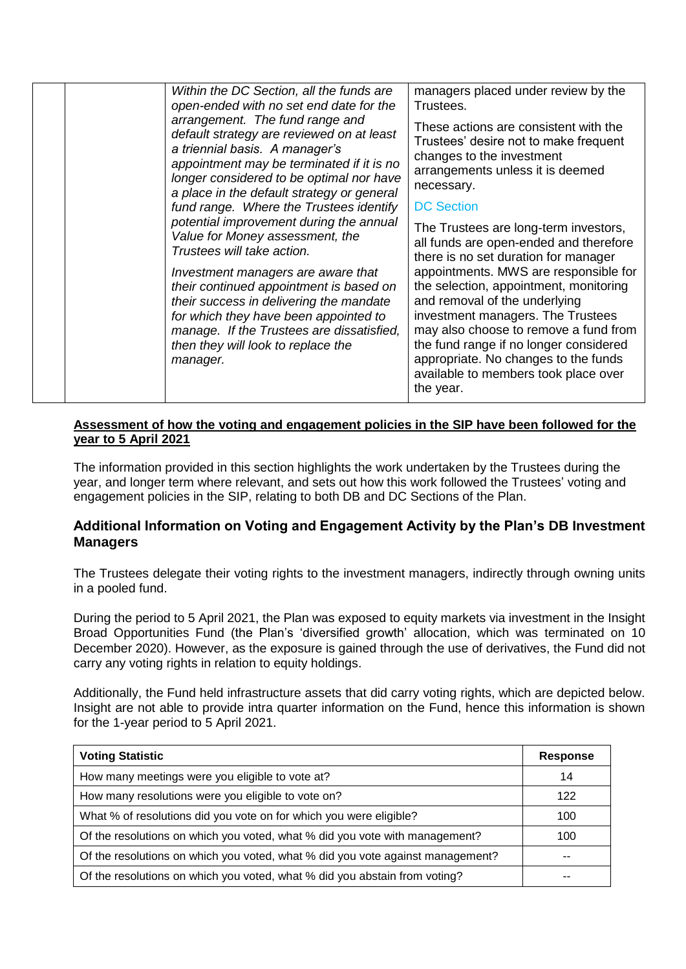| Within the DC Section, all the funds are   | managers placed under review by the    |
|--------------------------------------------|----------------------------------------|
| open-ended with no set end date for the    | Trustees.                              |
| arrangement. The fund range and            | These actions are consistent with the  |
| default strategy are reviewed on at least  | Trustees' desire not to make frequent  |
| a triennial basis. A manager's             | changes to the investment              |
| appointment may be terminated if it is no  | arrangements unless it is deemed       |
| longer considered to be optimal nor have   | necessary.                             |
| a place in the default strategy or general | <b>DC Section</b>                      |
| fund range. Where the Trustees identify    | The Trustees are long-term investors,  |
| potential improvement during the annual    | all funds are open-ended and therefore |
| Value for Money assessment, the            | there is no set duration for manager   |
| Trustees will take action.                 | appointments. MWS are responsible for  |
| Investment managers are aware that         | the selection, appointment, monitoring |
| their continued appointment is based on    | and removal of the underlying          |
| their success in delivering the mandate    | investment managers. The Trustees      |
| for which they have been appointed to      | may also choose to remove a fund from  |
| manage. If the Trustees are dissatisfied,  | the fund range if no longer considered |
| then they will look to replace the         | appropriate. No changes to the funds   |
| manager.                                   | available to members took place over   |

#### **Assessment of how the voting and engagement policies in the SIP have been followed for the year to 5 April 2021**

The information provided in this section highlights the work undertaken by the Trustees during the year, and longer term where relevant, and sets out how this work followed the Trustees' voting and engagement policies in the SIP, relating to both DB and DC Sections of the Plan.

## **Additional Information on Voting and Engagement Activity by the Plan's DB Investment Managers**

The Trustees delegate their voting rights to the investment managers, indirectly through owning units in a pooled fund.

During the period to 5 April 2021, the Plan was exposed to equity markets via investment in the Insight Broad Opportunities Fund (the Plan's 'diversified growth' allocation, which was terminated on 10 December 2020). However, as the exposure is gained through the use of derivatives, the Fund did not carry any voting rights in relation to equity holdings.

Additionally, the Fund held infrastructure assets that did carry voting rights, which are depicted below. Insight are not able to provide intra quarter information on the Fund, hence this information is shown for the 1-year period to 5 April 2021.

| <b>Voting Statistic</b>                                                        | <b>Response</b> |
|--------------------------------------------------------------------------------|-----------------|
| How many meetings were you eligible to vote at?                                | 14              |
| How many resolutions were you eligible to vote on?                             | 122             |
| What % of resolutions did you vote on for which you were eligible?             | 100             |
| Of the resolutions on which you voted, what % did you vote with management?    | 100             |
| Of the resolutions on which you voted, what % did you vote against management? | --              |
| Of the resolutions on which you voted, what % did you abstain from voting?     |                 |